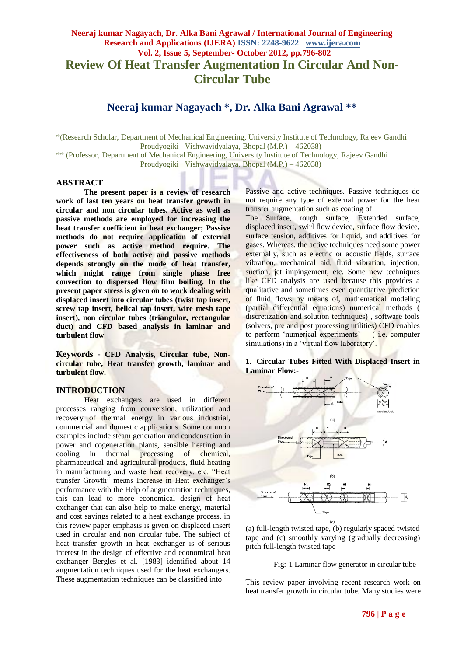# **Neeraj kumar Nagayach, Dr. Alka Bani Agrawal / International Journal of Engineering Research and Applications (IJERA) ISSN: 2248-9622 www.ijera.com Vol. 2, Issue 5, September- October 2012, pp.796-802 Review Of Heat Transfer Augmentation In Circular And Non-Circular Tube**

# **Neeraj kumar Nagayach \*, Dr. Alka Bani Agrawal \*\***

\*(Research Scholar, Department of Mechanical Engineering, University Institute of Technology, Rajeev Gandhi Proudyogiki Vishwavidyalaya, Bhopal (M.P.) – 462038) \*\* (Professor, Department of Mechanical Engineering, University Institute of Technology, Rajeev Gandhi

Proudyogiki Vishwavidyalaya, Bhopal (M.P.) – 462038)

# **ABSTRACT**

**The present paper is a review of research work of last ten years on heat transfer growth in circular and non circular tubes. Active as well as passive methods are employed for increasing the heat transfer coefficient in heat exchanger; Passive methods do not require application of external power such as active method require. The effectiveness of both active and passive methods depends strongly on the mode of heat transfer, which might range from single phase free convection to dispersed flow film boiling. In the present paper stress is given on to work dealing with displaced insert into circular tubes (twist tap insert, screw tap insert, helical tap insert, wire mesh tape insert), non circular tubes (triangular, rectangular duct) and CFD based analysis in laminar and turbulent flow**.

**Keywords - CFD Analysis, Circular tube, Noncircular tube, Heat transfer growth, laminar and turbulent flow.**

## **INTRODUCTION**

Heat exchangers are used in different processes ranging from conversion, utilization and recovery of thermal energy in various industrial, commercial and domestic applications. Some common examples include steam generation and condensation in power and cogeneration plants, sensible heating and cooling in thermal processing of chemical, pharmaceutical and agricultural products, fluid heating in manufacturing and waste heat recovery, etc. "Heat transfer Growth" means Increase in Heat exchanger's performance with the Help of augmentation techniques, this can lead to more economical design of heat exchanger that can also help to make energy, material and cost savings related to a heat exchange process. in this review paper emphasis is given on displaced insert used in circular and non circular tube. The subject of heat transfer growth in heat exchanger is of serious interest in the design of effective and economical heat exchanger Bergles et al. [1983] identified about 14 augmentation techniques used for the heat exchangers. These augmentation techniques can be classified into

Passive and active techniques. Passive techniques do not require any type of external power for the heat transfer augmentation such as coating of

The Surface, rough surface, Extended surface, displaced insert, swirl flow device, surface flow device, surface tension, additives for liquid, and additives for gases. Whereas, the active techniques need some power externally, such as electric or acoustic fields, surface vibration, mechanical aid, fluid vibration, injection, suction, jet impingement, etc. Some new techniques like CFD analysis are used because this provides a qualitative and sometimes even quantitative prediction of fluid flows by means of, mathematical modeling (partial differential equations) numerical methods ( discretization and solution techniques) , software tools (solvers, pre and post processing utilities) CFD enables to perform "numerical experiments" ( i.e. computer simulations) in a 'virtual flow laboratory'.

## **1. Circular Tubes Fitted With Displaced Insert in Laminar Flow:-**



(a**)** full-length twisted tape, (b) regularly spaced twisted tape and (c) smoothly varying (gradually decreasing) pitch full-length twisted tape

Fig:-1 Laminar flow generator in circular tube

This review paper involving recent research work on heat transfer growth in circular tube. Many studies were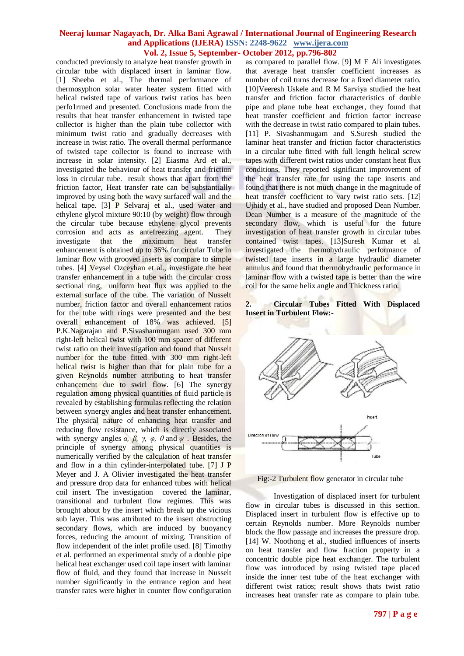conducted previously to analyze heat transfer growth in circular tube with displaced insert in laminar flow. [1] Sheeba et al., The thermal performance of thermosyphon solar water heater system fitted with helical twisted tape of various twist ratios has been perfo1rmed and presented. Conclusions made from the results that heat transfer enhancement in twisted tape collector is higher than the plain tube collector with minimum twist ratio and gradually decreases with increase in twist ratio. The overall thermal performance of twisted tape collector is found to increase with increase in solar intensity. [2] Eiasma Ard et al., investigated the behaviour of heat transfer and friction loss in circular tube. result shows that apart from the friction factor, Heat transfer rate can be substantially improved by using both the wavy surfaced wall and the helical tape. [3] P Selvaraj et al., used water and ethylene glycol mixture 90:10 (by weight) flow through the circular tube because ethylene glycol prevents corrosion and acts as antefreezing agent. They investigate that the maximum heat transfer enhancement is obtained up to 36% for circular Tube in laminar flow with grooved inserts as compare to simple tubes. [4] Veysel Ozceyhan et al., investigate the heat transfer enhancement in a tube with the circular cross sectional ring, uniform heat flux was applied to the external surface of the tube. The variation of Nusselt number, friction factor and overall enhancement ratios for the tube with rings were presented and the best overall enhancement of 18% was achieved. [5] P.K.Nagarajan and P.Sivashanmugam used 300 mm right-left helical twist with 100 mm spacer of different twist ratio on their investigation and found that Nusselt number for the tube fitted with 300 mm right-left helical twist is higher than that for plain tube for a given Reynolds number attributing to heat transfer enhancement due to swirl flow. [6] The synergy regulation among physical quantities of fluid particle is revealed by establishing formulas reflecting the relation between synergy angles and heat transfer enhancement. The physical nature of enhancing heat transfer and reducing flow resistance, which is directly associated with synergy angles *α, β, γ, φ, θ* and *ψ* . Besides, the principle of synergy among physical quantities is numerically verified by the calculation of heat transfer and flow in a thin cylinder-interpolated tube. [7] J P Meyer and J. A Olivier investigated the heat transfer and pressure drop data for enhanced tubes with helical coil insert. The investigation covered the laminar, transitional and turbulent flow regimes. This was brought about by the insert which break up the vicious sub layer. This was attributed to the insert obstructing secondary flows, which are induced by buoyancy forces, reducing the amount of mixing. Transition of flow independent of the inlet profile used. [8] Timothy et al. performed an experimental study of a double pipe helical heat exchanger used coil tape insert with laminar flow of fluid, and they found that increase in Nusselt number significantly in the entrance region and heat transfer rates were higher in counter flow configuration

as compared to parallel flow. [9] M E Ali investigates that average heat transfer coefficient increases as number of coil turns decrease for a fixed diameter ratio. [10]Veeresh Uskele and R M Sarviya studied the heat transfer and friction factor characteristics of double pipe and plane tube heat exchanger, they found that heat transfer coefficient and friction factor increase with the decrease in twist ratio compared to plain tubes. [11] P. Sivashanmugam and S.Suresh studied the laminar heat transfer and friction factor characteristics in a circular tube fitted with full length helical screw tapes with different twist ratios under constant heat flux conditions, They reported significant improvement of the heat transfer rate for using the tape inserts and found that there is not much change in the magnitude of heat transfer coefficient to vary twist ratio sets. [12] Ujhidy et al., have studied and proposed Dean Number. Dean Number is a measure of the magnitude of the secondary flow, which is useful for the future investigation of heat transfer growth in circular tubes contained twist tapes. [13]Suresh Kumar et al. investigated the thermohydraulic performance of twisted tape inserts in a large hydraulic diameter annulus and found that thermohydraulic performance in laminar flow with a twisted tape is better than the wire coil for the same helix angle and Thickness ratio.

## **2. Circular Tubes Fitted With Displaced Insert in Turbulent Flow:-**



Fig:-2 Turbulent flow generator in circular tube

Investigation of displaced insert for turbulent flow in circular tubes is discussed in this section. Displaced insert in turbulent flow is effective up to certain Reynolds number. More Reynolds number block the flow passage and increases the pressure drop. [14] W. Noothong et al., studied influences of inserts on heat transfer and flow fraction property in a concentric double pipe heat exchanger. The turbulent flow was introduced by using twisted tape placed inside the inner test tube of the heat exchanger with different twist ratios; result shows thats twist ratio increases heat transfer rate as compare to plain tube.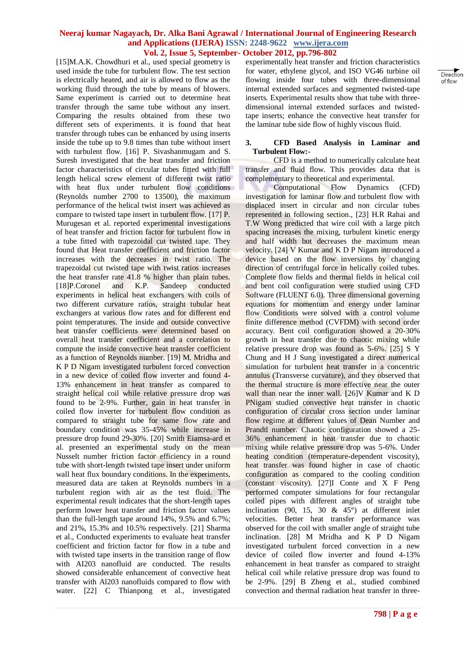[15]M.A.K. Chowdhuri et al., used special geometry is used inside the tube for turbulent flow. The test section is electrically heated, and air is allowed to flow as the working fluid through the tube by means of blowers. Same experiment is carried out to determine heat transfer through the same tube without any insert. Comparing the results obtained from these two different sets of experiments. it is found that heat transfer through tubes can be enhanced by using inserts inside the tube up to 9.8 times than tube without insert with turbulent flow. [16] P. Sivashanmugam and S. Suresh investigated that the heat transfer and friction factor characteristics of circular tubes fitted with full length helical screw element of different twist ratio with heat flux under turbulent flow conditions (Reynolds number 2700 to 13500), the maximum performance of the helical twist insert was achieved as compare to twisted tape insert in turbulent flow. [17] P. Murugesan et al. reported experimental investigations of heat transfer and friction factor for turbulent flow in a tube fitted with trapezoidal cut twisted tape. They found that Heat transfer coefficient and friction factor increases with the decreases in twist ratio. The trapezoidal cut twisted tape with twist ratios increases the heat transfer rate 41.8 % higher than plain tubes. [18]P.Coronel and K.P. Sandeep conducted experiments in helical heat exchangers with coils of two different curvature ratios, straight tubular heat exchangers at various flow rates and for different end point temperatures. The inside and outside convective heat transfer coefficients were determined based on overall heat transfer coefficient and a correlation to compute the inside convective heat transfer coefficient as a function of Reynolds number. [19] M. Mridha and K P D Nigam investigated turbulent forced convection in a new device of coiled flow inverter and found 4- 13% enhancement in heat transfer as compared to straight helical coil while relative pressure drop was found to be 2-9%. Further, gain in heat transfer in coiled flow inverter for turbulent flow condition as compared to straight tube for same flow rate and boundary condition was 35-45% while increase in pressure drop found 29-30%. [20] Smith Eiamsa-ard et al. presented an experimental study on the mean Nusselt number friction factor efficiency in a round tube with short-length twisted tape insert under uniform wall heat flux boundary conditions. In the experiments, measured data are taken at Reynolds numbers in a turbulent region with air as the test fluid. The experimental result indicates that the short-length tapes perform lower heat transfer and friction factor values than the full-length tape around 14%, 9.5% and 6.7%; and 21%, 15.3% and 10.5% respectively. [21] Sharma et al., Conducted experiments to evaluate heat transfer coefficient and friction factor for flow in a tube and with twisted tape inserts in the transition range of flow with AI203 nanofluid are conducted. The results showed considerable enhancement of convective heat transfer with Al203 nanofluids compared to flow with water. [22] C Thianpong et al., investigated

experimentally heat transfer and friction characteristics for water, ethylene glycol, and ISO VG46 turbine oil flowing inside four tubes with three-dimensional internal extended surfaces and segmented twisted-tape inserts. Experimental results show that tube with threedimensional internal extended surfaces and twistedtape inserts; enhance the convective heat transfer for the laminar tube side flow of highly viscous fluid.

#### **3. CFD Based Analysis in Laminar and Turbulent Flow:-**

CFD is a method to numerically calculate heat transfer and fluid flow. This provides data that is complementary to theoretical and experimental.

Computational Flow Dynamics (CFD) investigation for laminar flow and turbulent flow with displaced insert in circular and non circular tubes represented in following section., [23] H.R Rahai and T.W Wong predicted that wire coil with a large pitch spacing increases the mixing, turbulent kinetic energy and half width but decreases the maximum mean velocity. [24] V Kumar and K D P Nigam introduced a device based on the flow inversions by changing direction of centrifugal force in helically coiled tubes. Complete flow fields and thermal fields in helical coil and bent coil configuration were studied using CFD Software (FLUENT 6.0). Three dimensional governing equations for momentum and energy under laminar flow Conditions were solved with a control volume finite difference method (CVFDM) with second order accuracy. Bent coil configuration showed a 20-30% growth in heat transfer due to chaotic mixing while relative pressure drop was found as 5-6%. [25] S Y Chung and H J Sung investigated a direct numerical simulation for turbulent heat transfer in a concentric annulus (Transverse curvature), and they observed that the thermal structure is more effective near the outer wall than near the inner wall. [26]V Kumar and K D PNigam studied convective heat transfer in chaotic configuration of circular cross section under laminar flow regime at different values of Dean Number and Prandtl number. Chaotic configuration showed a 25- 36% enhancement in heat transfer due to chaotic mixing while relative pressure drop was 5-6%. Under heating condition (temperature-dependent viscosity), heat transfer was found higher in case of chaotic configuration as compared to the cooling condition (constant viscosity). [27]I Conte and X F Peng performed computer simulations for four rectangular coiled pipes with different angles of straight tube inclination (90, 15, 30  $\&$  45 $^{\circ}$ ) at different inlet velocities. Better heat transfer performance was observed for the coil with smaller angle of straight tube inclination. [28] M Mridha and K P D Nigam investigated turbulent forced convection in a new device of coiled flow inverter and found 4-13% enhancement in heat transfer as compared to straight helical coil while relative pressure drop was found to be 2-9%. [29] B Zheng et al., studied combined convection and thermal radiation heat transfer in three-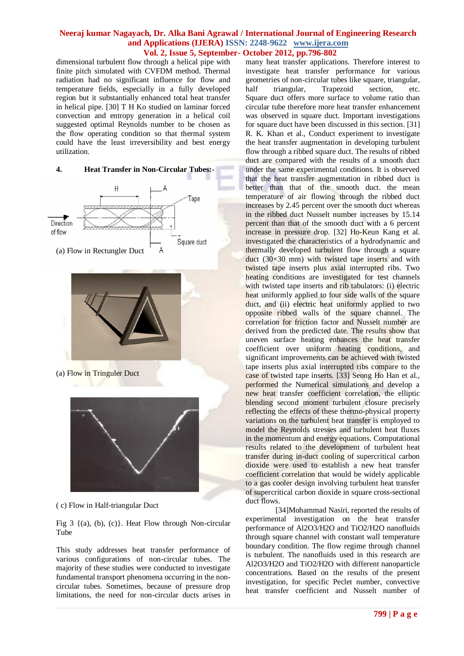dimensional turbulent flow through a helical pipe with finite pitch simulated with CVFDM method. Thermal radiation had no significant influence for flow and temperature fields, especially in a fully developed region but it substantially enhanced total heat transfer in helical pipe. [30] T H Ko studied on laminar forced convection and entropy generation in a helical coil suggested optimal Reynolds number to be chosen as the flow operating condition so that thermal system could have the least irreversibility and best energy utilization.







## (a) Flow in Tringuler Duct



( c) Flow in Half-triangular Duct

Fig 3  $\{(a), (b), (c)\}\)$ . Heat Flow through Non-circular Tube

This study addresses heat transfer performance of various configurations of non-circular tubes. The majority of these studies were conducted to investigate fundamental transport phenomena occurring in the noncircular tubes. Sometimes, because of pressure drop limitations, the need for non-circular ducts arises in

many heat transfer applications. Therefore interest to investigate heat transfer performance for various geometries of non-circular tubes like square, triangular, half triangular, Trapezoid section, etc. Square duct offers more surface to volume ratio than circular tube therefore more heat transfer enhancement was observed in square duct. Important investigations for square duct have been discussed in this section. [31] R. K. Khan et al., Conduct experiment to investigate the heat transfer augmentation in developing turbulent flow through a ribbed square duct. The results of ribbed duct are compared with the results of a smooth duct under the same experimental conditions. It is observed that the heat transfer augmentation in ribbed duct is better than that of the smooth duct. the mean temperature of air flowing through the ribbed duct increases by 2.45 percent over the smooth duct whereas in the ribbed duct Nusselt number increases by 15.14 percent than that of the smooth duct with a 6 percent increase in pressure drop. [32] Ho-Keun Kang et al. investigated the characteristics of a hydrodynamic and thermally developed turbulent flow through a square duct  $(30\times30$  mm) with twisted tape inserts and with twisted tape inserts plus axial interrupted ribs. Two heating conditions are investigated for test channels with twisted tape inserts and rib tabulators: (i) electric heat uniformly applied to four side walls of the square duct, and (ii) electric heat uniformly applied to two opposite ribbed walls of the square channel. The correlation for friction factor and Nusselt number are derived from the predicted date. The results show that uneven surface heating enhances the heat transfer coefficient over uniform heating conditions, and significant improvements can be achieved with twisted tape inserts plus axial interrupted ribs compare to the case of twisted tape inserts. [33] Seong Ho Han et al., performed the Numerical simulations and develop a new heat transfer coefficient correlation, the elliptic blending second moment turbulent closure precisely reflecting the effects of these thermo-physical property variations on the turbulent heat transfer is employed to model the Reynolds stresses and turbulent heat fluxes in the momentum and energy equations. Computational results related to the development of turbulent heat transfer during in-duct cooling of supercritical carbon dioxide were used to establish a new heat transfer coefficient correlation that would be widely applicable to a gas cooler design involving turbulent heat transfer of supercritical carbon dioxide in square cross-sectional duct flows.

[34]Mohammad Nasiri, reported the results of experimental investigation on the heat transfer performance of Al2O3/H2O and TiO2/H2O nanofluids through square channel with constant wall temperature boundary condition. The flow regime through channel is turbulent. The nanofluids used in this research are Al2O3/H2O and TiO2/H2O with different nanoparticle concentrations. Based on the results of the present investigation, for specific Peclet number, convective heat transfer coefficient and Nusselt number of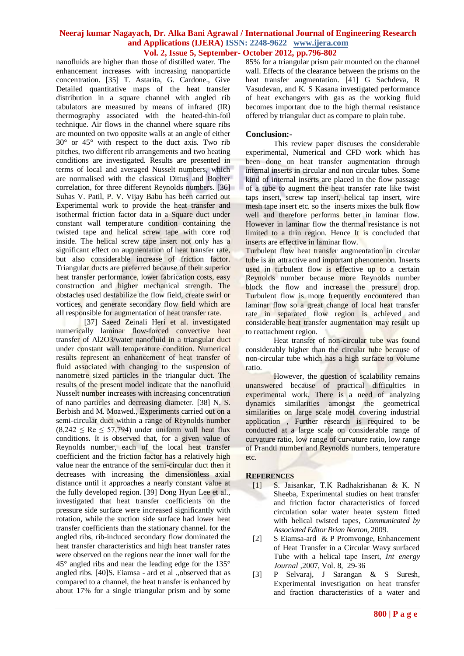nanofluids are higher than those of distilled water. The enhancement increases with increasing nanoparticle concentration. [35] T. Astarita, G. Cardone., Give Detailed quantitative maps of the heat transfer distribution in a square channel with angled rib tabulators are measured by means of infrared (IR) thermography associated with the heated-thin-foil technique. Air flows in the channel where square ribs are mounted on two opposite walls at an angle of either 30° or 45° with respect to the duct axis. Two rib pitches, two different rib arrangements and two heating conditions are investigated. Results are presented in terms of local and averaged Nusselt numbers, which are normalised with the classical Dittus and Boelter correlation, for three different Reynolds numbers. [36] Suhas V. Patil, P. V. Vijay Babu has been carried out Experimental work to provide the heat transfer and isothermal friction factor data in a Square duct under constant wall temperature condition containing the twisted tape and helical screw tape with core rod inside. The helical screw tape insert not only has a significant effect on augmentation of heat transfer rate, but also considerable increase of friction factor. Triangular ducts are preferred because of their superior heat transfer performance, lower fabrication costs, easy construction and higher mechanical strength. The obstacles used destabilize the flow field, create swirl or vortices, and generate secondary flow field which are all responsible for augmentation of heat transfer rate.

[37] Saeed Zeinali Heri et al. investigated numerically laminar flow-forced convective heat transfer of Al2O3/water nanofluid in a triangular duct under constant wall temperature condition. Numerical results represent an enhancement of heat transfer of fluid associated with changing to the suspension of nanometre sized particles in the triangular duct. The results of the present model indicate that the nanofluid Nusselt number increases with increasing concentration of nano particles and decreasing diameter. [38] N. S. Berbish and M. Moawed., Experiments carried out on a semi-circular duct within a range of Reynolds number  $(8,242 \leq Re \leq 57,794)$  under uniform wall heat flux conditions. It is observed that, for a given value of Reynolds number, each of the local heat transfer coefficient and the friction factor has a relatively high value near the entrance of the semi-circular duct then it decreases with increasing the dimensionless axial distance until it approaches a nearly constant value at the fully developed region. [39] Dong Hyun Lee et al., investigated that heat transfer coefficients on the pressure side surface were increased significantly with rotation, while the suction side surface had lower heat transfer coefficients than the stationary channel. for the angled ribs, rib-induced secondary flow dominated the heat transfer characteristics and high heat transfer rates were observed on the regions near the inner wall for the 45° angled ribs and near the leading edge for the 135° angled ribs. [40]S. Eiamsa - ard et al .,observed that as compared to a channel, the heat transfer is enhanced by about 17% for a single triangular prism and by some

85% for a triangular prism pair mounted on the channel wall. Effects of the clearance between the prisms on the heat transfer augmentation. [41] G Sachdeva, R Vasudevan, and K. S Kasana investigated performance of heat exchangers with gas as the working fluid becomes important due to the high thermal resistance offered by triangular duct as compare to plain tube.

## **Conclusion:-**

This review paper discuses the considerable experimental, Numerical and CFD work which has been done on heat transfer augmentation through internal inserts in circular and non circular tubes. Some kind of internal inserts are placed in the flow passage of a tube to augment the heat transfer rate like twist taps insert, screw tap insert, helical tap insert, wire mesh tape insert etc. so the inserts mixes the bulk flow well and therefore performs better in laminar flow. However in laminar flow the thermal resistance is not limited to a thin region. Hence It is concluded that inserts are effective in laminar flow.

Turbulent flow heat transfer augmentation in circular tube is an attractive and important phenomenon. Inserts used in turbulent flow is effective up to a certain Reynolds number because more Reynolds number block the flow and increase the pressure drop. Turbulent flow is more frequently encountered than laminar flow so a great change of local heat transfer rate in separated flow region is achieved and considerable heat transfer augmentation may result up to reattachment region.

Heat transfer of non-circular tube was found considerably higher than the circular tube because of non-circular tube which has a high surface to volume ratio.

However, the question of scalability remains unanswered because of practical difficulties in experimental work. There is a need of analyzing dynamics similarities amongst the geometrical similarities on large scale model covering industrial application , Further research is required to be conducted at a large scale on considerable range of curvature ratio, low range of curvature ratio, low range of Prandtl number and Reynolds numbers, temperature etc.

## **REFERENCES**

- [1] S. Jaisankar, T.K Radhakrishanan & K. N Sheeba, Experimental studies on heat transfer and friction factor characteristics of forced circulation solar water heater system fitted with helical twisted tapes, *Communicated by Associated Editor Brian Norton,* 2009.
- [2] S Eiamsa-ard & P Promvonge, Enhancement of Heat Transfer in a Circular Wavy surfaced Tube with a helical tape Insert, *Int energy Journal ,*2007, Vol. 8, 29-36
- [3] P Selvaraj, J Sarangan & S Suresh, Experimental investigation on heat transfer and fraction characteristics of a water and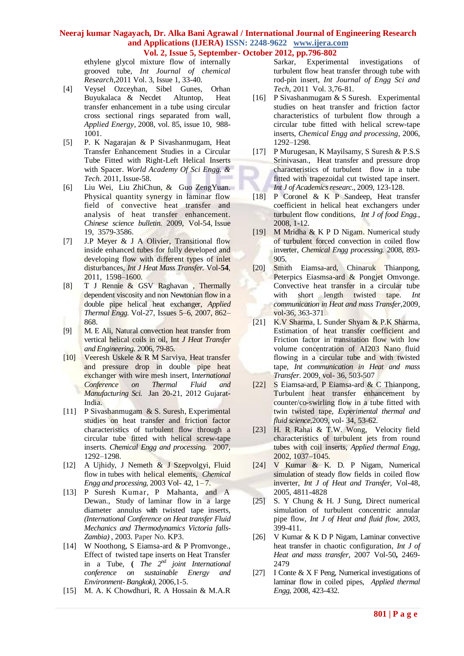ethylene glycol mixture flow of internally grooved tube, *Int Journal of chemical Research*,2011 Vol. 3, Issue 1, 33-40.

- [4] Veysel Ozceyhan, Sibel Gunes, Orhan Buyukalaca & Necdet Altuntop, Heat transfer enhancement in a tube using circular cross sectional rings separated from wall, *Applied Energy,* 2008, vol. 85, issue 10, 988- 1001.
- [5] P. K Nagarajan & P Sivashanmugam, Heat Transfer Enhancement Studies in a Circular Tube Fitted with Right-Left Helical Inserts with Spacer. *World Academy Of Sci Engg. & Tech.* 2011, Issue-58.
- [6] [Liu](http://rd.springer.com/search?facet-author=%22Wei+Liu%22) [Wei,](http://rd.springer.com/search?facet-author=%22Wei+Liu%22) [Liu](http://rd.springer.com/search?facet-author=%22ZhiChun+Liu%22) [ZhiChun,](http://rd.springer.com/search?facet-author=%22ZhiChun+Liu%22) & [Guo](http://rd.springer.com/search?facet-author=%22ZengYuan+Guo%22) [ZengYuan.](http://rd.springer.com/search?facet-author=%22ZengYuan+Guo%22) Physical quantity synergy in laminar flow field of convective heat transfer and analysis of heat transfer enhancement. *Chinese science bulletin.* 2009, Vol-54, [Issue](http://rd.springer.com/journal/11434/54/19/page/1) [19,](http://rd.springer.com/journal/11434/54/19/page/1) 3579-3586.
- [7] J.P Meyer & J A Olivier, Transitional flow inside enhanced tubes for fully developed and developing flow with different types of inlet disturbances, *Int J Heat Mass Transfer.* Vol-**54**, 2011, 1598–1600.
- [8] T J Rennie & GSV Raghavan , Thermally dependent viscosity and non Newtonian flow in a double pipe helical heat exchanger, *Applied Thermal Engg.* [Vol-27,](http://www.sciencedirect.com/science/journal/13594311/27/5) Issues 5–6, 2007, 862– 868.
- [9] M. E Ali, Natural convection heat transfer from vertical helical coils in oil, Int *J Heat Transfer and Engineering.* 2006, 79-85.
- [10] Veeresh Uskele & R M Sarviya, Heat transfer and pressure drop in double pipe heat exchanger with wire mesh insert, I*nternational Conference on Thermal Fluid and Manufacturing Sci.* Jan 20-21, 2012 Gujarat-India.
- [11] P Sivashanmugam & S. Suresh, Experimental studies on heat transfer and friction factor characteristics of turbulent flow through a circular tube fitted with helical screw-tape inserts. *Chemical Engg and processing.* 2007, 1292–1298.
- [12] A Ujhidy, J Nemeth & J Szepvolgyi, Fluid flow in tubes with helical elements, *Chemical Engg and processing, 2003 Vol- 42, 1-7.*
- [13] P Suresh Kumar, P Mahanta, and A Dewan., Study of laminar flow in a large diameter annulus with twisted tape inserts, *(International Conference on Heat transfer Fluid Mechanics and Thermodynamics Victoria falls-Zambia)* , 2003. Paper No. KP3.
- [14] W Noothong, S Eiamsa-ard & P Promvonge., Effect of twisted tape inserts on Heat Transfer in a Tube, **(** *The 2nd joint International conference on sustainable Energy and Environment- Bangkok),* 2006,1-5.
- [15] M. A. K Chowdhuri, R. A Hossain & M.A.R

Sarkar, Experimental investigations of turbulent flow heat transfer through tube with rod-pin insert, *Int Journal of Engg Sci and Tech,* 2011 Vol. 3,76-81.

- [16] P Sivashanmugam & S Suresh. Experimental studies on heat transfer and friction factor characteristics of turbulent flow through a circular tube fitted with helical screw-tape inserts, *Chemical Engg and processing*, 2006, 1292–1298.
- [17] P Murugesan, K Mayilsamy, S Suresh & P.S.S Srinivasan., Heat transfer and pressure drop characteristics of turbulent flow in a tube fitted with trapezoidal cut twisted tape insert. *Int J of Academics researc.,* 2009, 123-128.
- [18] P Coronel & K P Sandeep, Heat transfer coefficient in helical heat exchangers under turbulent flow conditions, *Int J of food Engg.*, 2008, 1-12.
- [19] M Mridha & K P D Nigam. Numerical study of turbulent forced convection in coiled flow inverter, *Chemical Engg processing.* 2008, 893- 905.
- [20] Smith Eiamsa-ard, Chinaruk Thianpong, Peterpics Eiasmsa-ard & Pongjet Omvonge. Convective heat transfer in a circular tube with short length twisted tape. *Int communication in Heat and mass Transfer*,2009, vol-36, 363-371.
- [21] K.V Sharma, L Sunder Shyam & P.K Sharma, Estimation of heat transfer coefficient and Friction factor in transitation flow with low volume concentration of AI203 Nano fluid flowing in a circular tube and with twisted tape, *Int communication in Heat and mass Transfer*. 2009, vol- 36, 503-507
- [22] S Eiamsa-ard, P Eiamsa-ard & C Thianpong, Turbulent heat transfer enhancement by counter/co-swirling flow in a tube fitted with twin twisted tape, *Experimental thermal and fluid science,*2009, vol- 34, 53-62.
- [23] H. R Rahai & T.W. Wong, Velocity field characteristics of turbulent jets from round tubes with coil inserts, *Applied thermal Engg*, 2002, 1037–1045.
- [24] V Kumar & K. D. P Nigam, Numerical simulation of steady flow fields in coiled flow inverter, *Int J of Heat and Transfer*, Vol-48, 2005, 4811-4828
- [25] S. Y Chung & H. J Sung, Direct numerical simulation of turbulent concentric annular pipe flow, *Int J of Heat and fluid flow, 2003*, 399-411.
- [26] V Kumar & K D P Nigam, Laminar convective heat transfer in chaotic configuration, *Int J of Heat and mass transfer,* 2007 Vol-50**,** 2469- 2479
- [27] I Conte & X F Peng, Numerical investigations of laminar flow in coiled pipes, *Applied thermal Engg*, 2008, 423-432.